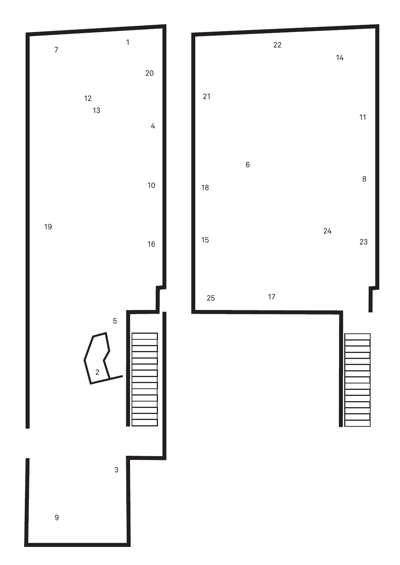